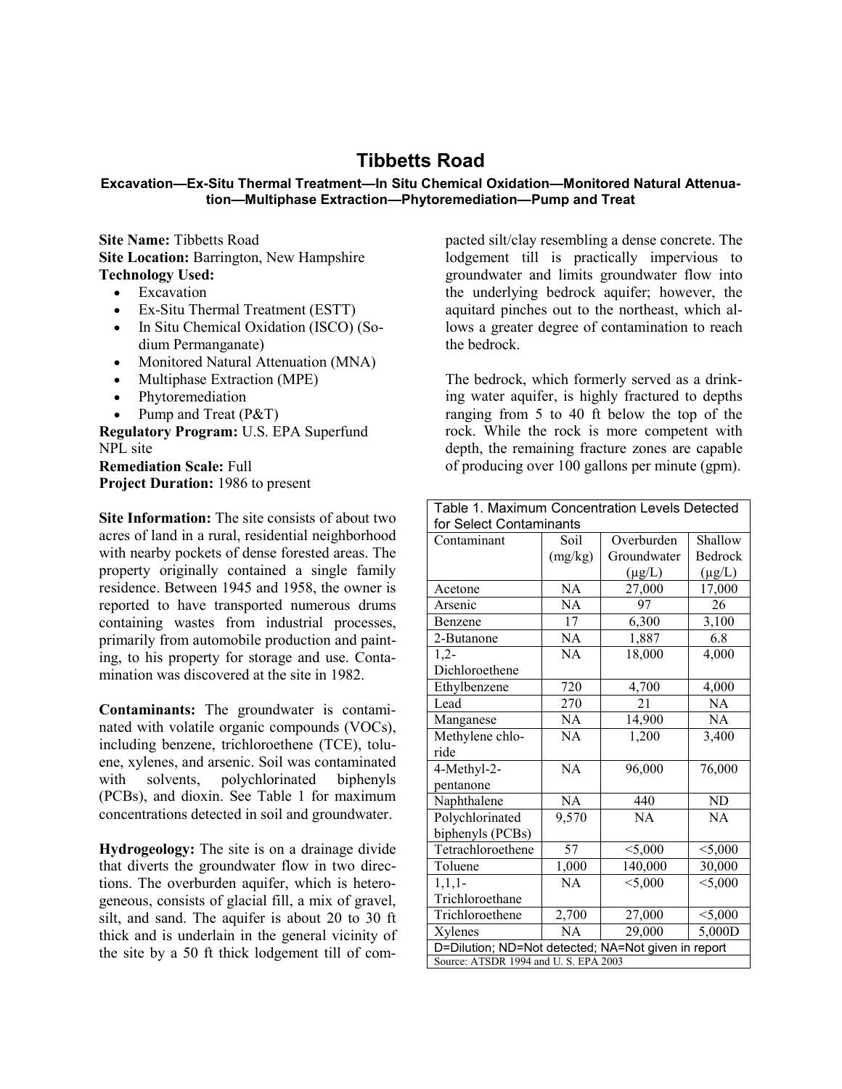## **Tibbetts Road**

## **Excavation—Ex-Situ Thermal Treatment—In Situ Chemical Oxidation—Monitored Natural Attenuation—Multiphase Extraction—Phytoremediation—Pump and Treat**

**Site Name:** Tibbetts Road **Site Location: Barrington, New Hampshire Technology Used:**

- Excavation
- Ex-Situ Thermal Treatment (ESTT)
- In Situ Chemical Oxidation (ISCO) (Sodium Permanganate)
- Monitored Natural Attenuation (MNA)
- Multiphase Extraction (MPE)
- Phytoremediation
- Pump and Treat (P&T)

**Regulatory Program:** U.S. EPA Superfund NPL site

**Remediation Scale:** Full **Project Duration:** 1986 to present

**Site Information:** The site consists of about two acres of land in a rural, residential neighborhood with nearby pockets of dense forested areas. The property originally contained a single family residence. Between 1945 and 1958, the owner is reported to have transported numerous drums containing wastes from industrial processes, primarily from automobile production and painting, to his property for storage and use. Contamination was discovered at the site in 1982.

**Contaminants:** The groundwater is contaminated with volatile organic compounds (VOCs), including benzene, trichloroethene (TCE), toluene, xylenes, and arsenic. Soil was contaminated with solvents, polychlorinated (PCBs), and dioxin. See Table 1 for maximum concentrations detected in soil and groundwater.

**Hydrogeology:** The site is on a drainage divide that diverts the groundwater flow in two directions. The overburden aquifer, which is heterogeneous, consists of glacial fill, a mix of gravel, silt, and sand. The aquifer is about 20 to 30 ft thick and is underlain in the general vicinity of the site by a 50 ft thick lodgement till of com-

pacted silt/clay resembling a dense concrete. The lodgement till is practically impervious to groundwater and limits groundwater flow into the underlying bedrock aquifer; however, the aquitard pinches out to the northeast, which allows a greater degree of contamination to reach the bedrock.

The bedrock, which formerly served as a drinking water aquifer, is highly fractured to depths ranging from 5 to 40 ft below the top of the rock. While the rock is more competent with depth, the remaining fracture zones are capable of producing over 100 gallons per minute (gpm).

| Table 1. Maximum Concentration Levels Detected      |                |             |             |
|-----------------------------------------------------|----------------|-------------|-------------|
| for Select Contaminants                             |                |             |             |
| Contaminant                                         | Soil           | Overburden  | Shallow     |
|                                                     | (mg/kg)        | Groundwater | Bedrock     |
|                                                     |                | $(\mu g/L)$ | $(\mu g/L)$ |
| Acetone                                             | NA             | 27,000      | 17,000      |
| Arsenic                                             | NA             | 97          | 26          |
| Benzene                                             | 17             | 6,300       | 3,100       |
| 2-Butanone                                          | N <sub>A</sub> | 1,887       | 6.8         |
| $1,2-$                                              | <b>NA</b>      | 18,000      | 4,000       |
| Dichloroethene                                      |                |             |             |
| Ethylbenzene                                        | 720            | 4,700       | 4,000       |
| Lead                                                | 270            | 21          | NA          |
| Manganese                                           | NA             | 14,900      | <b>NA</b>   |
| Methylene chlo-                                     | <b>NA</b>      | 1,200       | 3,400       |
| ride                                                |                |             |             |
| 4-Methyl-2-                                         | <b>NA</b>      | 96,000      | 76,000      |
| pentanone                                           |                |             |             |
| Naphthalene                                         | NA             | 440         | ND          |
| Polychlorinated                                     | 9,570          | NA          | <b>NA</b>   |
| biphenyls (PCBs)                                    |                |             |             |
| Tetrachloroethene                                   | 57             | $<$ 5,000   | $<$ 5,000   |
| Toluene                                             | 1,000          | 140,000     | 30,000      |
| 1,1,1                                               | NA             | < 5,000     | $<$ 5,000   |
| Trichloroethane                                     |                |             |             |
| Trichloroethene                                     | 2,700          | 27,000      | $<$ 5,000   |
| Xylenes                                             | NA             | 29,000      | 5,000D      |
| D=Dilution; ND=Not detected; NA=Not given in report |                |             |             |
| Source: ATSDR 1994 and U.S. EPA 2003                |                |             |             |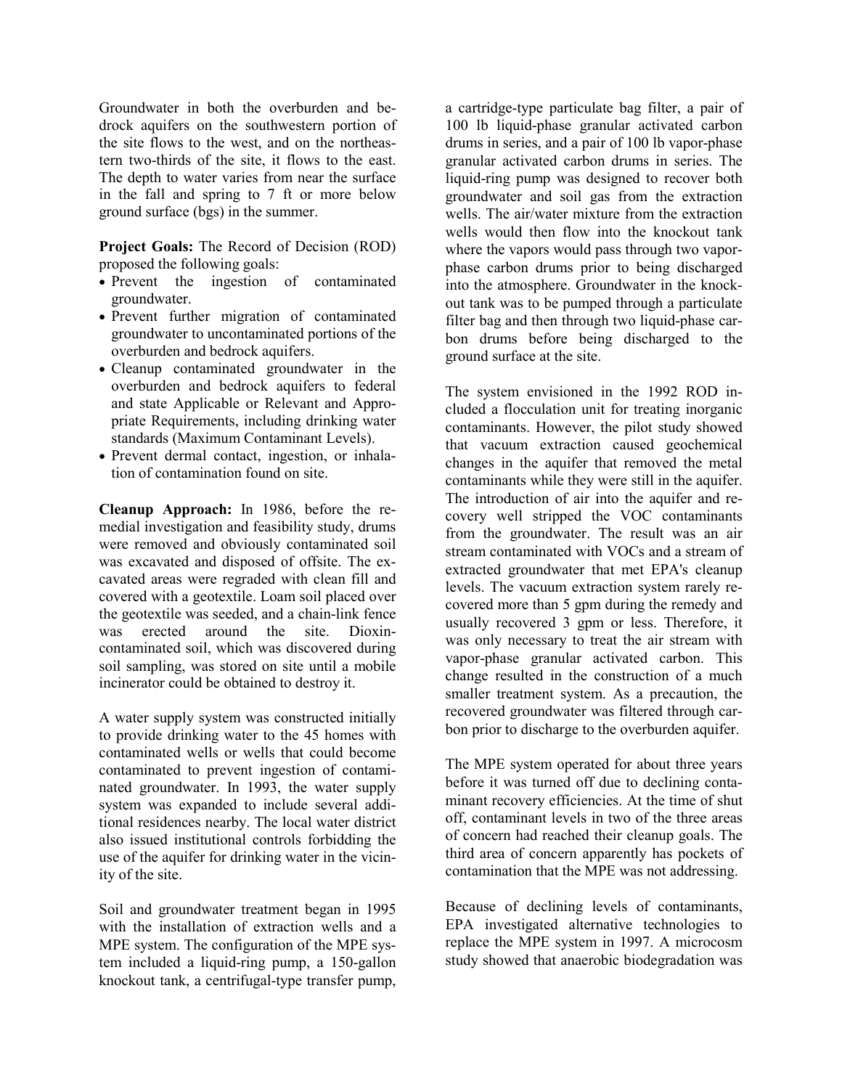Groundwater in both the overburden and bedrock aquifers on the southwestern portion of the site flows to the west, and on the northeastern two-thirds of the site, it flows to the east. The depth to water varies from near the surface in the fall and spring to 7 ft or more below ground surface (bgs) in the summer.

**Project Goals:** The Record of Decision (ROD) proposed the following goals:

- Prevent the ingestion of contaminated groundwater.
- Prevent further migration of contaminated groundwater to uncontaminated portions of the overburden and bedrock aquifers.
- Cleanup contaminated groundwater in the overburden and bedrock aquifers to federal and state Applicable or Relevant and Appropriate Requirements, including drinking water standards (Maximum Contaminant Levels).
- Prevent dermal contact, ingestion, or inhalation of contamination found on site.

**Cleanup Approach:** In 1986, before the remedial investigation and feasibility study, drums were removed and obviously contaminated soil was excavated and disposed of offsite. The excavated areas were regraded with clean fill and covered with a geotextile. Loam soil placed over the geotextile was seeded, and a chain-link fence was erected around the site. Dioxincontaminated soil, which was discovered during soil sampling, was stored on site until a mobile incinerator could be obtained to destroy it.

A water supply system was constructed initially to provide drinking water to the 45 homes with contaminated wells or wells that could become contaminated to prevent ingestion of contaminated groundwater. In 1993, the water supply system was expanded to include several additional residences nearby. The local water district also issued institutional controls forbidding the use of the aquifer for drinking water in the vicinity of the site.

Soil and groundwater treatment began in 1995 with the installation of extraction wells and a MPE system. The configuration of the MPE system included a liquid-ring pump, a 150-gallon knockout tank, a centrifugal-type transfer pump,

a cartridge-type particulate bag filter, a pair of 100 lb liquid-phase granular activated carbon drums in series, and a pair of 100 lb vapor-phase granular activated carbon drums in series. The liquid-ring pump was designed to recover both groundwater and soil gas from the extraction wells. The air/water mixture from the extraction wells would then flow into the knockout tank where the vapors would pass through two vaporphase carbon drums prior to being discharged into the atmosphere. Groundwater in the knockout tank was to be pumped through a particulate filter bag and then through two liquid-phase carbon drums before being discharged to the ground surface at the site.

The system envisioned in the 1992 ROD included a flocculation unit for treating inorganic contaminants. However, the pilot study showed that vacuum extraction caused geochemical changes in the aquifer that removed the metal contaminants while they were still in the aquifer. The introduction of air into the aquifer and recovery well stripped the VOC contaminants from the groundwater. The result was an air stream contaminated with VOCs and a stream of extracted groundwater that met EPA's cleanup levels. The vacuum extraction system rarely recovered more than 5 gpm during the remedy and usually recovered 3 gpm or less. Therefore, it was only necessary to treat the air stream with vapor-phase granular activated carbon. This change resulted in the construction of a much smaller treatment system. As a precaution, the recovered groundwater was filtered through carbon prior to discharge to the overburden aquifer.

The MPE system operated for about three years before it was turned off due to declining contaminant recovery efficiencies. At the time of shut off, contaminant levels in two of the three areas of concern had reached their cleanup goals. The third area of concern apparently has pockets of contamination that the MPE was not addressing.

Because of declining levels of contaminants, EPA investigated alternative technologies to replace the MPE system in 1997. A microcosm study showed that anaerobic biodegradation was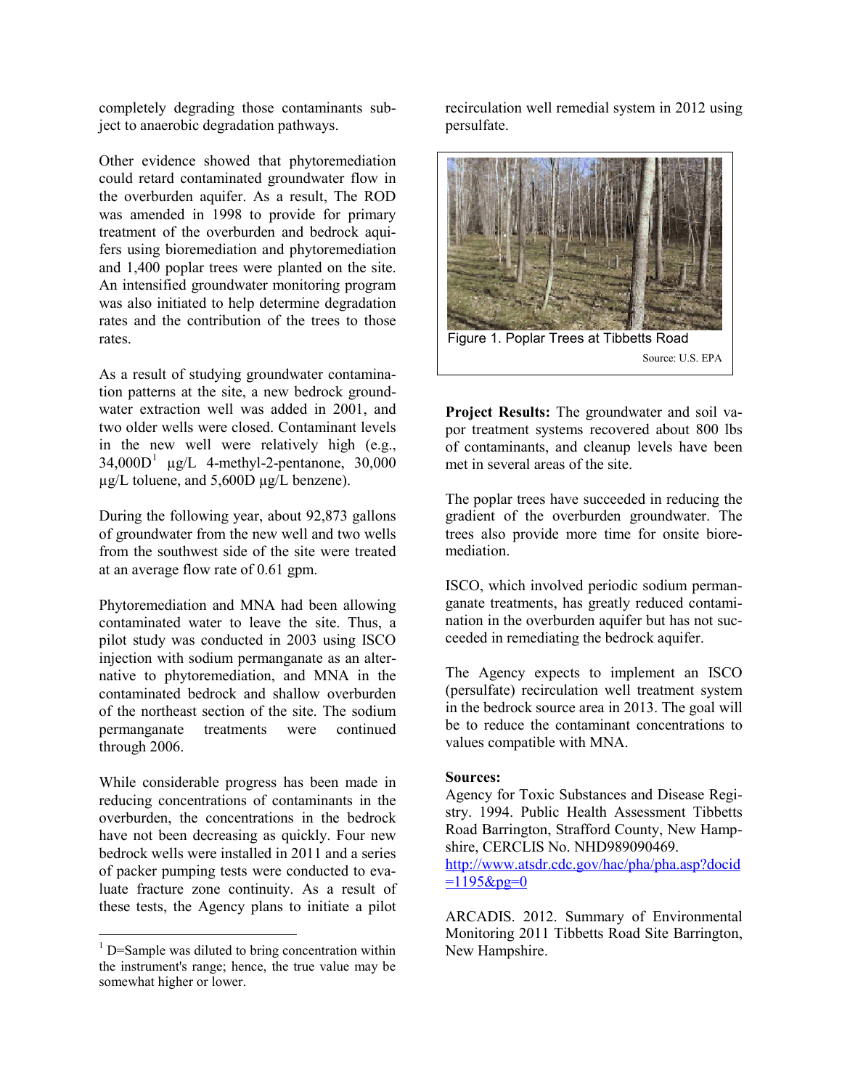completely degrading those contaminants subject to anaerobic degradation pathways.

Other evidence showed that phytoremediation could retard contaminated groundwater flow in the overburden aquifer. As a result, The ROD was amended in 1998 to provide for primary treatment of the overburden and bedrock aquifers using bioremediation and phytoremediation and 1,400 poplar trees were planted on the site. An intensified groundwater monitoring program was also initiated to help determine degradation rates and the contribution of the trees to those rates.

As a result of studying groundwater contamination patterns at the site, a new bedrock groundwater extraction well was added in 2001, and two older wells were closed. Contaminant levels in the new well were relatively high (e.g.,  $34,000D<sup>1</sup>$  $34,000D<sup>1</sup>$  $34,000D<sup>1</sup>$  µg/L 4-methyl-2-pentanone, 30,000 µg/L toluene, and 5,600D µg/L benzene).

During the following year, about 92,873 gallons of groundwater from the new well and two wells from the southwest side of the site were treated at an average flow rate of 0.61 gpm.

Phytoremediation and MNA had been allowing contaminated water to leave the site. Thus, a pilot study was conducted in 2003 using ISCO injection with sodium permanganate as an alternative to phytoremediation, and MNA in the contaminated bedrock and shallow overburden of the northeast section of the site. The sodium permanganate treatments were continued through 2006.

While considerable progress has been made in reducing concentrations of contaminants in the overburden, the concentrations in the bedrock have not been decreasing as quickly. Four new bedrock wells were installed in 2011 and a series of packer pumping tests were conducted to evaluate fracture zone continuity. As a result of these tests, the Agency plans to initiate a pilot

 $\overline{a}$ 

recirculation well remedial system in 2012 using persulfate.



**Project Results:** The groundwater and soil vapor treatment systems recovered about 800 lbs of contaminants, and cleanup levels have been met in several areas of the site.

The poplar trees have succeeded in reducing the gradient of the overburden groundwater. The trees also provide more time for onsite bioremediation.

ISCO, which involved periodic sodium permanganate treatments, has greatly reduced contamination in the overburden aquifer but has not succeeded in remediating the bedrock aquifer.

The Agency expects to implement an ISCO (persulfate) recirculation well treatment system in the bedrock source area in 2013. The goal will be to reduce the contaminant concentrations to values compatible with MNA.

## **Sources:**

Agency for Toxic Substances and Disease Registry. 1994. Public Health Assessment Tibbetts Road Barrington, Strafford County, New Hampshire, CERCLIS No. NHD989090469. [http://www.atsdr.cdc.gov/hac/pha/pha.asp?docid](http://www.atsdr.cdc.gov/hac/pha/pha.asp?docid=1195&pg=0)

 $=1195$ &pg=0

ARCADIS. 2012. Summary of Environmental Monitoring 2011 Tibbetts Road Site Barrington, New Hampshire.

<span id="page-2-0"></span><sup>&</sup>lt;sup>1</sup> D=Sample was diluted to bring concentration within the instrument's range; hence, the true value may be somewhat higher or lower.